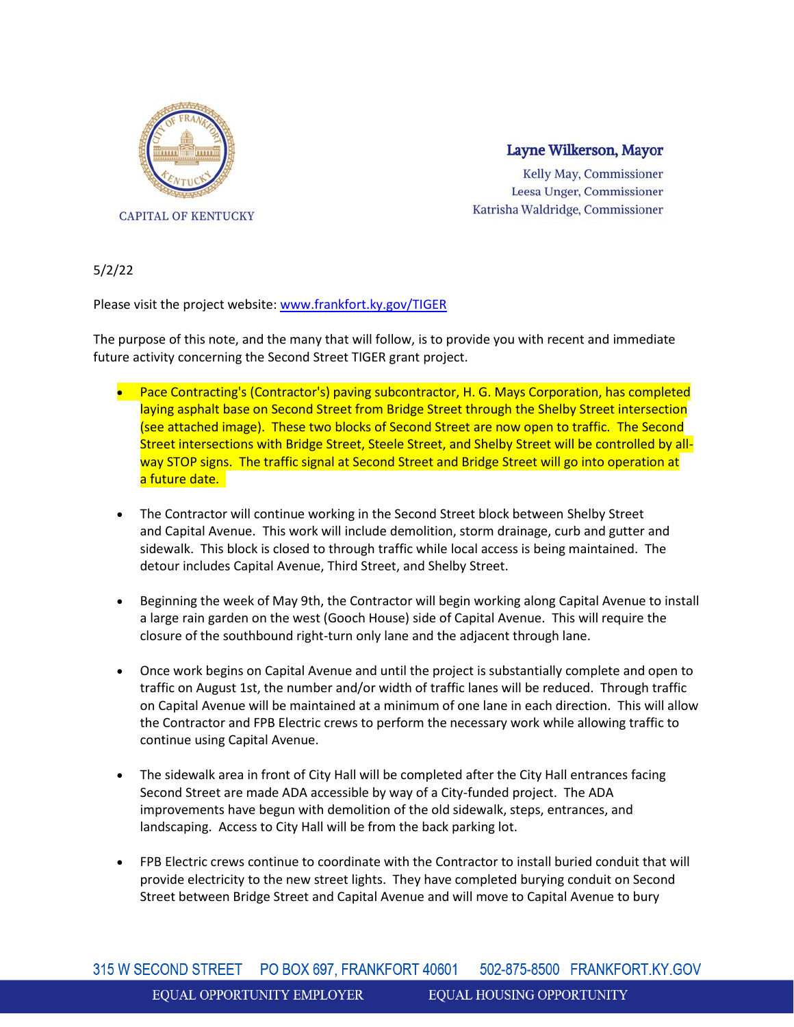

## Layne Wilkerson, Mayor

Kelly May, Commissioner Leesa Unger, Commissioner Katrisha Waldridge, Commissioner

5/2/22

Please visit the project website: [www.frankfort.ky.gov/TIGER](http://www.frankfort.ky.gov/TIGER)

The purpose of this note, and the many that will follow, is to provide you with recent and immediate future activity concerning the Second Street TIGER grant project.

- Pace Contracting's (Contractor's) paving subcontractor, H. G. Mays Corporation, has completed laying asphalt base on Second Street from Bridge Street through the Shelby Street intersection (see attached image). These two blocks of Second Street are now open to traffic. The Second Street intersections with Bridge Street, Steele Street, and Shelby Street will be controlled by allway STOP signs. The traffic signal at Second Street and Bridge Street will go into operation at a future date.
- The Contractor will continue working in the Second Street block between Shelby Street and Capital Avenue. This work will include demolition, storm drainage, curb and gutter and sidewalk. This block is closed to through traffic while local access is being maintained. The detour includes Capital Avenue, Third Street, and Shelby Street.
- Beginning the week of May 9th, the Contractor will begin working along Capital Avenue to install a large rain garden on the west (Gooch House) side of Capital Avenue. This will require the closure of the southbound right-turn only lane and the adjacent through lane.
- Once work begins on Capital Avenue and until the project is substantially complete and open to traffic on August 1st, the number and/or width of traffic lanes will be reduced. Through traffic on Capital Avenue will be maintained at a minimum of one lane in each direction. This will allow the Contractor and FPB Electric crews to perform the necessary work while allowing traffic to continue using Capital Avenue.
- The sidewalk area in front of City Hall will be completed after the City Hall entrances facing Second Street are made ADA accessible by way of a City-funded project. The ADA improvements have begun with demolition of the old sidewalk, steps, entrances, and landscaping. Access to City Hall will be from the back parking lot.
- FPB Electric crews continue to coordinate with the Contractor to install buried conduit that will provide electricity to the new street lights. They have completed burying conduit on Second Street between Bridge Street and Capital Avenue and will move to Capital Avenue to bury